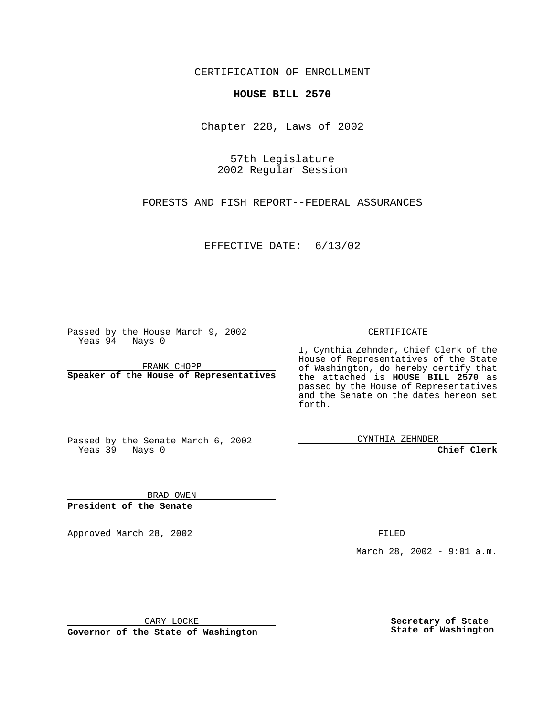CERTIFICATION OF ENROLLMENT

## **HOUSE BILL 2570**

Chapter 228, Laws of 2002

57th Legislature 2002 Regular Session

FORESTS AND FISH REPORT--FEDERAL ASSURANCES

EFFECTIVE DATE: 6/13/02

Passed by the House March 9, 2002 Yeas 94 Nays 0

FRANK CHOPP **Speaker of the House of Representatives** CERTIFICATE

I, Cynthia Zehnder, Chief Clerk of the House of Representatives of the State of Washington, do hereby certify that the attached is **HOUSE BILL 2570** as passed by the House of Representatives and the Senate on the dates hereon set forth.

Passed by the Senate March 6, 2002 Yeas 39 Nays 0

CYNTHIA ZEHNDER

**Chief Clerk**

BRAD OWEN **President of the Senate**

Approved March 28, 2002 **FILED** 

March 28, 2002 - 9:01 a.m.

GARY LOCKE

**Governor of the State of Washington**

**Secretary of State State of Washington**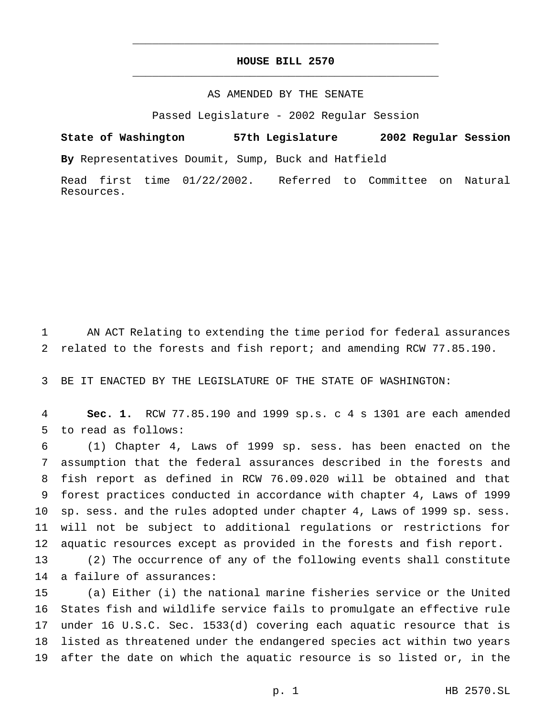## **HOUSE BILL 2570** \_\_\_\_\_\_\_\_\_\_\_\_\_\_\_\_\_\_\_\_\_\_\_\_\_\_\_\_\_\_\_\_\_\_\_\_\_\_\_\_\_\_\_\_\_\_\_

\_\_\_\_\_\_\_\_\_\_\_\_\_\_\_\_\_\_\_\_\_\_\_\_\_\_\_\_\_\_\_\_\_\_\_\_\_\_\_\_\_\_\_\_\_\_\_

## AS AMENDED BY THE SENATE

Passed Legislature - 2002 Regular Session

**State of Washington 57th Legislature 2002 Regular Session By** Representatives Doumit, Sump, Buck and Hatfield

Read first time 01/22/2002. Referred to Committee on Natural Resources.

 AN ACT Relating to extending the time period for federal assurances related to the forests and fish report; and amending RCW 77.85.190.

BE IT ENACTED BY THE LEGISLATURE OF THE STATE OF WASHINGTON:

 **Sec. 1.** RCW 77.85.190 and 1999 sp.s.c4s 1301 are each amended to read as follows:

 (1) Chapter 4, Laws of 1999 sp. sess. has been enacted on the assumption that the federal assurances described in the forests and fish report as defined in RCW 76.09.020 will be obtained and that forest practices conducted in accordance with chapter 4, Laws of 1999 sp. sess. and the rules adopted under chapter 4, Laws of 1999 sp. sess. will not be subject to additional regulations or restrictions for aquatic resources except as provided in the forests and fish report.

 (2) The occurrence of any of the following events shall constitute a failure of assurances:

 (a) Either (i) the national marine fisheries service or the United States fish and wildlife service fails to promulgate an effective rule under 16 U.S.C. Sec. 1533(d) covering each aquatic resource that is listed as threatened under the endangered species act within two years after the date on which the aquatic resource is so listed or, in the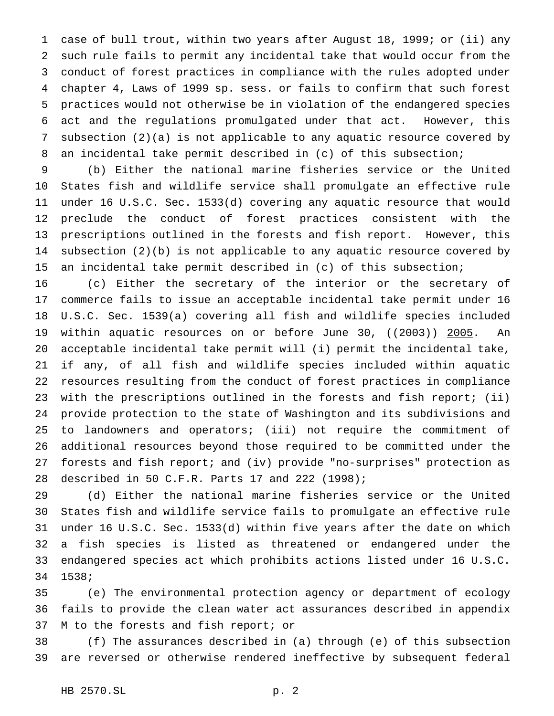case of bull trout, within two years after August 18, 1999; or (ii) any such rule fails to permit any incidental take that would occur from the conduct of forest practices in compliance with the rules adopted under chapter 4, Laws of 1999 sp. sess. or fails to confirm that such forest practices would not otherwise be in violation of the endangered species act and the regulations promulgated under that act. However, this subsection (2)(a) is not applicable to any aquatic resource covered by an incidental take permit described in (c) of this subsection;

 (b) Either the national marine fisheries service or the United States fish and wildlife service shall promulgate an effective rule under 16 U.S.C. Sec. 1533(d) covering any aquatic resource that would preclude the conduct of forest practices consistent with the prescriptions outlined in the forests and fish report. However, this subsection (2)(b) is not applicable to any aquatic resource covered by an incidental take permit described in (c) of this subsection;

 (c) Either the secretary of the interior or the secretary of commerce fails to issue an acceptable incidental take permit under 16 U.S.C. Sec. 1539(a) covering all fish and wildlife species included 19 within aquatic resources on or before June 30, ((2003)) 2005. An acceptable incidental take permit will (i) permit the incidental take, if any, of all fish and wildlife species included within aquatic resources resulting from the conduct of forest practices in compliance with the prescriptions outlined in the forests and fish report; (ii) provide protection to the state of Washington and its subdivisions and to landowners and operators; (iii) not require the commitment of additional resources beyond those required to be committed under the forests and fish report; and (iv) provide "no-surprises" protection as described in 50 C.F.R. Parts 17 and 222 (1998);

 (d) Either the national marine fisheries service or the United States fish and wildlife service fails to promulgate an effective rule under 16 U.S.C. Sec. 1533(d) within five years after the date on which a fish species is listed as threatened or endangered under the endangered species act which prohibits actions listed under 16 U.S.C. 1538;

 (e) The environmental protection agency or department of ecology fails to provide the clean water act assurances described in appendix M to the forests and fish report; or

 (f) The assurances described in (a) through (e) of this subsection are reversed or otherwise rendered ineffective by subsequent federal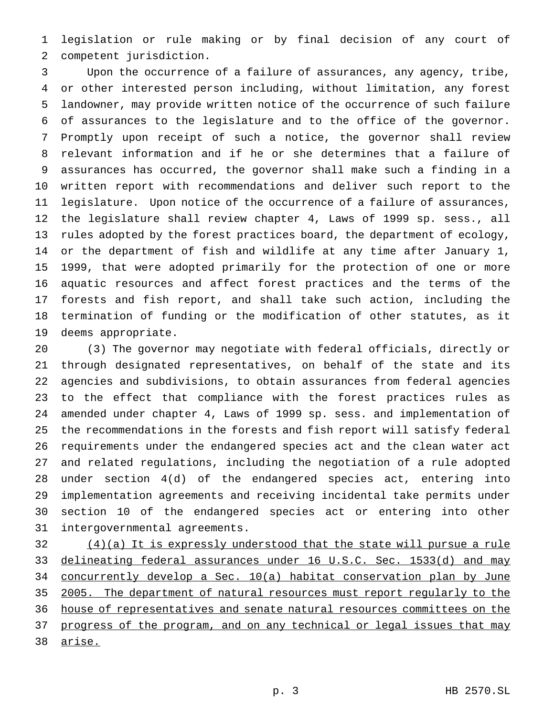legislation or rule making or by final decision of any court of competent jurisdiction.

 Upon the occurrence of a failure of assurances, any agency, tribe, or other interested person including, without limitation, any forest landowner, may provide written notice of the occurrence of such failure of assurances to the legislature and to the office of the governor. Promptly upon receipt of such a notice, the governor shall review relevant information and if he or she determines that a failure of assurances has occurred, the governor shall make such a finding in a written report with recommendations and deliver such report to the legislature. Upon notice of the occurrence of a failure of assurances, the legislature shall review chapter 4, Laws of 1999 sp. sess., all rules adopted by the forest practices board, the department of ecology, or the department of fish and wildlife at any time after January 1, 1999, that were adopted primarily for the protection of one or more aquatic resources and affect forest practices and the terms of the forests and fish report, and shall take such action, including the termination of funding or the modification of other statutes, as it deems appropriate.

 (3) The governor may negotiate with federal officials, directly or through designated representatives, on behalf of the state and its agencies and subdivisions, to obtain assurances from federal agencies to the effect that compliance with the forest practices rules as amended under chapter 4, Laws of 1999 sp. sess. and implementation of the recommendations in the forests and fish report will satisfy federal requirements under the endangered species act and the clean water act and related regulations, including the negotiation of a rule adopted under section 4(d) of the endangered species act, entering into implementation agreements and receiving incidental take permits under section 10 of the endangered species act or entering into other intergovernmental agreements.

 (4)(a) It is expressly understood that the state will pursue a rule 33 delineating federal assurances under 16 U.S.C. Sec. 1533(d) and may concurrently develop a Sec. 10(a) habitat conservation plan by June 35 2005. The department of natural resources must report regularly to the house of representatives and senate natural resources committees on the 37 progress of the program, and on any technical or legal issues that may arise.